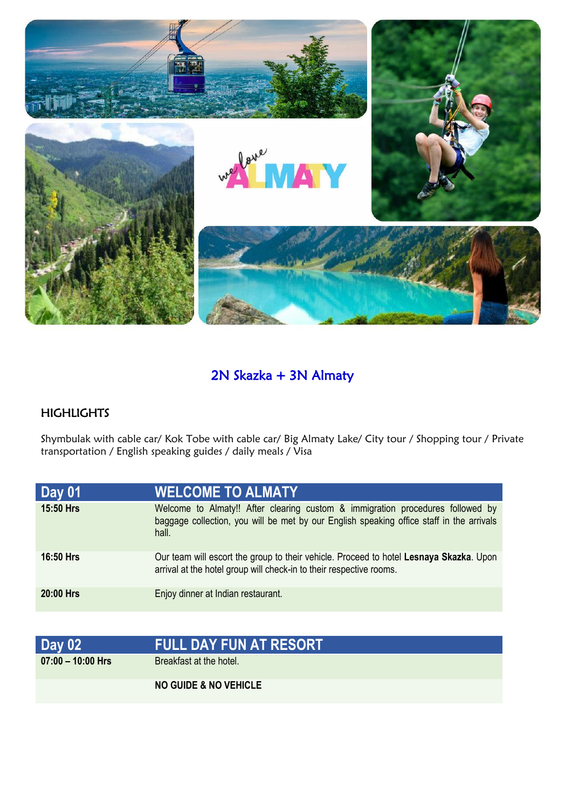

## 2N Skazka + 3N Almaty

## HIGHLIGHTS

Shymbulak with cable car/ Kok Tobe with cable car/ Big Almaty Lake/ City tour / Shopping tour / Private transportation / English speaking guides / daily meals / Visa

| Day 01    | <b>WELCOME TO ALMATY</b>                                                                                                                                                            |
|-----------|-------------------------------------------------------------------------------------------------------------------------------------------------------------------------------------|
| 15:50 Hrs | Welcome to Almaty!! After clearing custom & immigration procedures followed by<br>baggage collection, you will be met by our English speaking office staff in the arrivals<br>hall. |
| 16:50 Hrs | Our team will escort the group to their vehicle. Proceed to hotel Lesnaya Skazka. Upon<br>arrival at the hotel group will check-in to their respective rooms.                       |
| 20:00 Hrs | Enjoy dinner at Indian restaurant.                                                                                                                                                  |

| <b>Day 02</b>       | <b>FULL DAY FUN AT RESORT</b> '  |
|---------------------|----------------------------------|
| $07:00 - 10:00$ Hrs | Breakfast at the hotel.          |
|                     | <b>NO GUIDE &amp; NO VEHICLE</b> |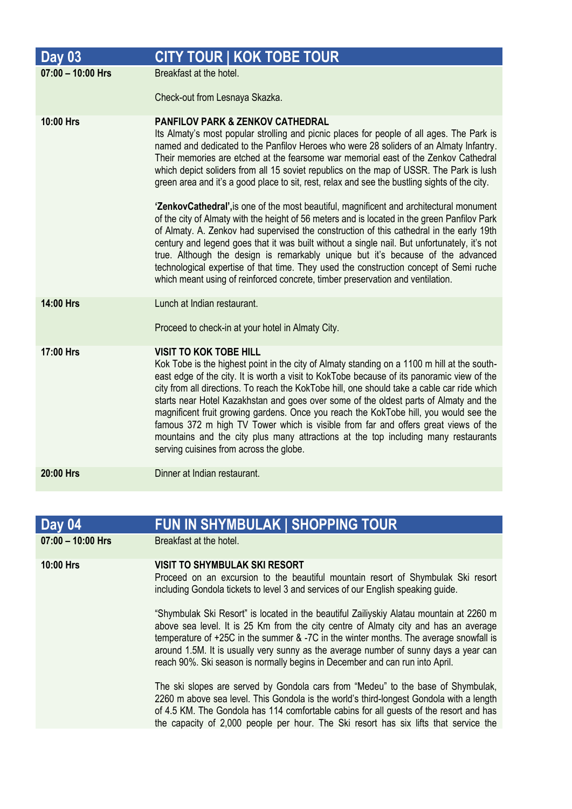| <b>Day 03</b>       | <b>CITY TOUR   KOK TOBE TOUR</b>                                                                                                                                                                                                                                                                                                                                                                                                                                                                                                                                                                                                                                                                                                                                                                                                                                                                                                                                                                                                                                                                                                                                            |
|---------------------|-----------------------------------------------------------------------------------------------------------------------------------------------------------------------------------------------------------------------------------------------------------------------------------------------------------------------------------------------------------------------------------------------------------------------------------------------------------------------------------------------------------------------------------------------------------------------------------------------------------------------------------------------------------------------------------------------------------------------------------------------------------------------------------------------------------------------------------------------------------------------------------------------------------------------------------------------------------------------------------------------------------------------------------------------------------------------------------------------------------------------------------------------------------------------------|
| $07:00 - 10:00$ Hrs | Breakfast at the hotel.                                                                                                                                                                                                                                                                                                                                                                                                                                                                                                                                                                                                                                                                                                                                                                                                                                                                                                                                                                                                                                                                                                                                                     |
|                     | Check-out from Lesnaya Skazka.                                                                                                                                                                                                                                                                                                                                                                                                                                                                                                                                                                                                                                                                                                                                                                                                                                                                                                                                                                                                                                                                                                                                              |
| 10:00 Hrs           | <b>PANFILOV PARK &amp; ZENKOV CATHEDRAL</b><br>Its Almaty's most popular strolling and picnic places for people of all ages. The Park is<br>named and dedicated to the Panfilov Heroes who were 28 soliders of an Almaty Infantry.<br>Their memories are etched at the fearsome war memorial east of the Zenkov Cathedral<br>which depict soliders from all 15 soviet republics on the map of USSR. The Park is lush<br>green area and it's a good place to sit, rest, relax and see the bustling sights of the city.<br>'ZenkovCathedral', is one of the most beautiful, magnificent and architectural monument<br>of the city of Almaty with the height of 56 meters and is located in the green Panfilov Park<br>of Almaty. A. Zenkov had supervised the construction of this cathedral in the early 19th<br>century and legend goes that it was built without a single nail. But unfortunately, it's not<br>true. Although the design is remarkably unique but it's because of the advanced<br>technological expertise of that time. They used the construction concept of Semi ruche<br>which meant using of reinforced concrete, timber preservation and ventilation. |
| 14:00 Hrs           | Lunch at Indian restaurant.<br>Proceed to check-in at your hotel in Almaty City.                                                                                                                                                                                                                                                                                                                                                                                                                                                                                                                                                                                                                                                                                                                                                                                                                                                                                                                                                                                                                                                                                            |
|                     |                                                                                                                                                                                                                                                                                                                                                                                                                                                                                                                                                                                                                                                                                                                                                                                                                                                                                                                                                                                                                                                                                                                                                                             |
| 17:00 Hrs           | <b>VISIT TO KOK TOBE HILL</b><br>Kok Tobe is the highest point in the city of Almaty standing on a 1100 m hill at the south-<br>east edge of the city. It is worth a visit to KokTobe because of its panoramic view of the<br>city from all directions. To reach the KokTobe hill, one should take a cable car ride which<br>starts near Hotel Kazakhstan and goes over some of the oldest parts of Almaty and the<br>magnificent fruit growing gardens. Once you reach the KokTobe hill, you would see the<br>famous 372 m high TV Tower which is visible from far and offers great views of the<br>mountains and the city plus many attractions at the top including many restaurants<br>serving cuisines from across the globe.                                                                                                                                                                                                                                                                                                                                                                                                                                          |
| 20:00 Hrs           | Dinner at Indian restaurant.                                                                                                                                                                                                                                                                                                                                                                                                                                                                                                                                                                                                                                                                                                                                                                                                                                                                                                                                                                                                                                                                                                                                                |

| Day 04            | <b>FUN IN SHYMBULAK   SHOPPING TOUR</b>                                                                                                                                                                                                                                                                                                                                                                                                         |
|-------------------|-------------------------------------------------------------------------------------------------------------------------------------------------------------------------------------------------------------------------------------------------------------------------------------------------------------------------------------------------------------------------------------------------------------------------------------------------|
| 07:00 - 10:00 Hrs | Breakfast at the hotel.                                                                                                                                                                                                                                                                                                                                                                                                                         |
| 10:00 Hrs         | <b>VISIT TO SHYMBULAK SKI RESORT</b><br>Proceed on an excursion to the beautiful mountain resort of Shymbulak Ski resort<br>including Gondola tickets to level 3 and services of our English speaking guide.                                                                                                                                                                                                                                    |
|                   | "Shymbulak Ski Resort" is located in the beautiful Zailiyskiy Alatau mountain at 2260 m<br>above sea level. It is 25 Km from the city centre of Almaty city and has an average<br>temperature of +25C in the summer & -7C in the winter months. The average snowfall is<br>around 1.5M. It is usually very sunny as the average number of sunny days a year can<br>reach 90%. Ski season is normally begins in December and can run into April. |
|                   | The ski slopes are served by Gondola cars from "Medeu" to the base of Shymbulak,<br>2260 m above sea level. This Gondola is the world's third-longest Gondola with a length<br>of 4.5 KM. The Gondola has 114 comfortable cabins for all guests of the resort and has<br>the capacity of 2,000 people per hour. The Ski resort has six lifts that service the                                                                                   |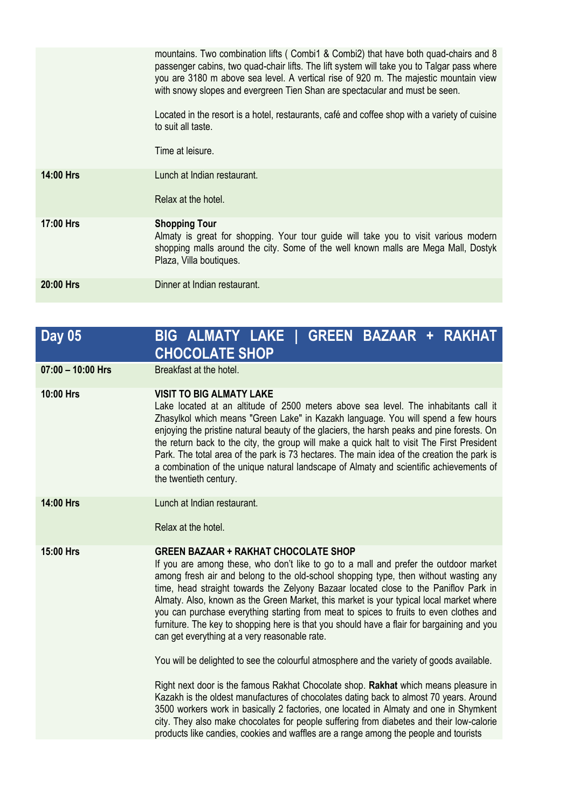|                  | mountains. Two combination lifts (Combi1 & Combi2) that have both quad-chairs and 8<br>passenger cabins, two quad-chair lifts. The lift system will take you to Talgar pass where<br>you are 3180 m above sea level. A vertical rise of 920 m. The majestic mountain view<br>with snowy slopes and evergreen Tien Shan are spectacular and must be seen.<br>Located in the resort is a hotel, restaurants, café and coffee shop with a variety of cuisine<br>to suit all taste. |
|------------------|---------------------------------------------------------------------------------------------------------------------------------------------------------------------------------------------------------------------------------------------------------------------------------------------------------------------------------------------------------------------------------------------------------------------------------------------------------------------------------|
|                  | Time at leisure.                                                                                                                                                                                                                                                                                                                                                                                                                                                                |
| <b>14:00 Hrs</b> | Lunch at Indian restaurant.                                                                                                                                                                                                                                                                                                                                                                                                                                                     |
|                  | Relax at the hotel.                                                                                                                                                                                                                                                                                                                                                                                                                                                             |
| 17:00 Hrs        | <b>Shopping Tour</b><br>Almaty is great for shopping. Your tour guide will take you to visit various modern<br>shopping malls around the city. Some of the well known malls are Mega Mall, Dostyk<br>Plaza, Villa boutiques.                                                                                                                                                                                                                                                    |
| 20:00 Hrs        | Dinner at Indian restaurant.                                                                                                                                                                                                                                                                                                                                                                                                                                                    |

## **Day 05 BIG ALMATY LAKE | GREEN BAZAAR + RAKHAT CHOCOLATE SHOP 07:00 – 10:00 Hrs** Breakfast at the hotel. **10:00 Hrs VISIT TO BIG ALMATY LAKE** Lake located at an altitude of 2500 meters above sea level. The inhabitants call it Zhasylkol which means "Green Lake" in Kazakh language. You will spend a few hours enjoying the pristine natural beauty of the glaciers, the harsh peaks and pine forests. On the return back to the city, the group will make a quick halt to visit The First President Park. The total area of the park is 73 hectares. The main idea of the creation the park is a combination of the unique natural landscape of Almaty and scientific achievements of the twentieth century. **14:00 Hrs** Lunch at Indian restaurant. Relax at the hotel. **15:00 Hrs GREEN BAZAAR + RAKHAT CHOCOLATE SHOP**  If you are among these, who don't like to go to a mall and prefer the outdoor market among fresh air and belong to the old-school shopping type, then without wasting any time, head straight towards the Zelyony Bazaar located close to the Paniflov Park in Almaty. Also, known as the Green Market, this market is your typical local market where you can purchase everything starting from meat to spices to fruits to even clothes and furniture. The key to shopping here is that you should have a flair for bargaining and you can get everything at a very reasonable rate. You will be delighted to see the colourful atmosphere and the variety of goods available. Right next door is the famous Rakhat Chocolate shop. **Rakhat** which means pleasure in Kazakh is the oldest manufactures of chocolates dating back to almost 70 years. Around 3500 workers work in basically 2 factories, one located in Almaty and one in Shymkent city. They also make chocolates for people suffering from diabetes and their low-calorie products like candies, cookies and waffles are a range among the people and tourists